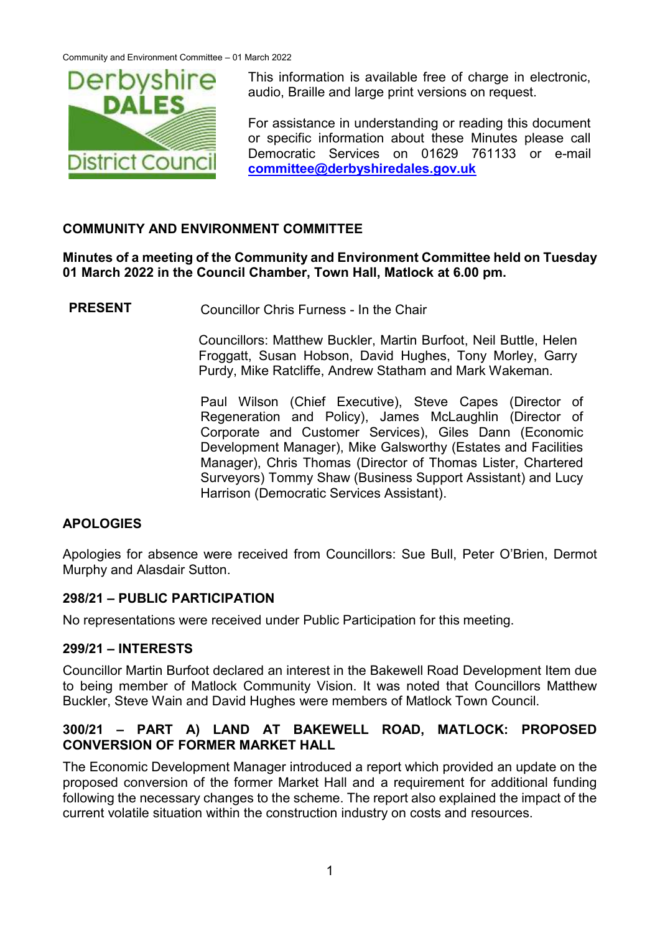

This information is available free of charge in electronic, audio, Braille and large print versions on request.

For assistance in understanding or reading this document or specific information about these Minutes please call Democratic Services on 01629 761133 or e-mail **[committee@derbyshiredales.gov.uk](mailto:committee@derbyshiredales.gov.uk)**

# **COMMUNITY AND ENVIRONMENT COMMITTEE**

## **Minutes of a meeting of the Community and Environment Committee held on Tuesday 01 March 2022 in the Council Chamber, Town Hall, Matlock at 6.00 pm.**

**PRESENT** Councillor Chris Furness - In the Chair

Councillors: Matthew Buckler, Martin Burfoot, Neil Buttle, Helen Froggatt, Susan Hobson, David Hughes, Tony Morley, Garry Purdy, Mike Ratcliffe, Andrew Statham and Mark Wakeman.

Paul Wilson (Chief Executive), Steve Capes (Director of Regeneration and Policy), James McLaughlin (Director of Corporate and Customer Services), Giles Dann (Economic Development Manager), Mike Galsworthy (Estates and Facilities Manager), Chris Thomas (Director of Thomas Lister, Chartered Surveyors) Tommy Shaw (Business Support Assistant) and Lucy Harrison (Democratic Services Assistant).

### **APOLOGIES**

Apologies for absence were received from Councillors: Sue Bull, Peter O'Brien, Dermot Murphy and Alasdair Sutton.

### **298/21 – PUBLIC PARTICIPATION**

No representations were received under Public Participation for this meeting.

### **299/21 – INTERESTS**

Councillor Martin Burfoot declared an interest in the Bakewell Road Development Item due to being member of Matlock Community Vision. It was noted that Councillors Matthew Buckler, Steve Wain and David Hughes were members of Matlock Town Council.

### **300/21 – PART A) LAND AT BAKEWELL ROAD, MATLOCK: PROPOSED CONVERSION OF FORMER MARKET HALL**

The Economic Development Manager introduced a report which provided an update on the proposed conversion of the former Market Hall and a requirement for additional funding following the necessary changes to the scheme. The report also explained the impact of the current volatile situation within the construction industry on costs and resources.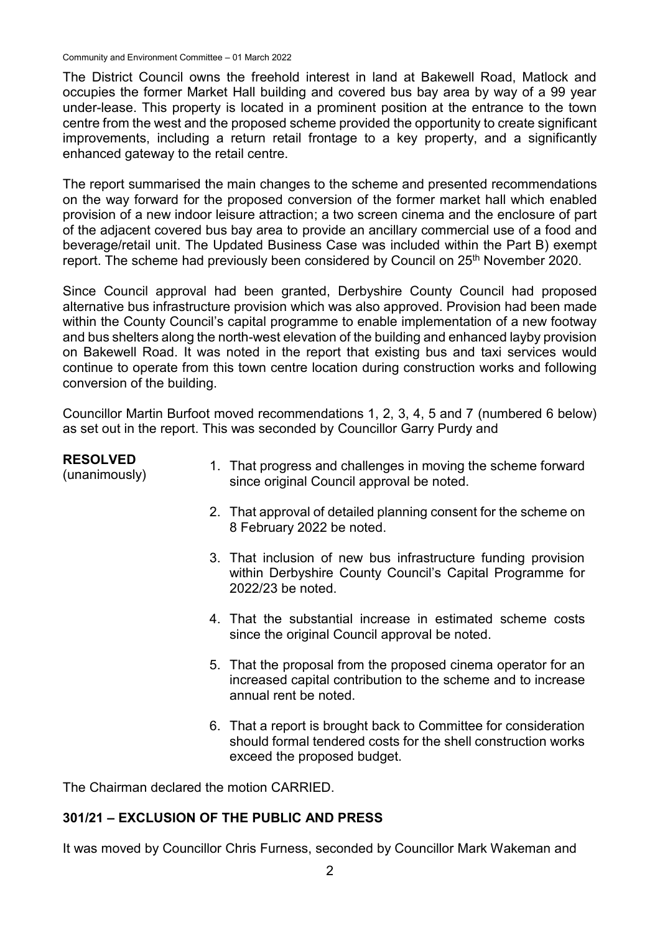Community and Environment Committee – 01 March 2022

The District Council owns the freehold interest in land at Bakewell Road, Matlock and occupies the former Market Hall building and covered bus bay area by way of a 99 year under-lease. This property is located in a prominent position at the entrance to the town centre from the west and the proposed scheme provided the opportunity to create significant improvements, including a return retail frontage to a key property, and a significantly enhanced gateway to the retail centre.

The report summarised the main changes to the scheme and presented recommendations on the way forward for the proposed conversion of the former market hall which enabled provision of a new indoor leisure attraction; a two screen cinema and the enclosure of part of the adjacent covered bus bay area to provide an ancillary commercial use of a food and beverage/retail unit. The Updated Business Case was included within the Part B) exempt report. The scheme had previously been considered by Council on 25<sup>th</sup> November 2020.

Since Council approval had been granted, Derbyshire County Council had proposed alternative bus infrastructure provision which was also approved. Provision had been made within the County Council's capital programme to enable implementation of a new footway and bus shelters along the north-west elevation of the building and enhanced layby provision on Bakewell Road. It was noted in the report that existing bus and taxi services would continue to operate from this town centre location during construction works and following conversion of the building.

Councillor Martin Burfoot moved recommendations 1, 2, 3, 4, 5 and 7 (numbered 6 below) as set out in the report. This was seconded by Councillor Garry Purdy and

| <b>RESOLVED</b><br>(unanimously) | 1. That progress and challenges in moving the scheme forward<br>since original Council approval be noted.                                                       |
|----------------------------------|-----------------------------------------------------------------------------------------------------------------------------------------------------------------|
|                                  | 2. That approval of detailed planning consent for the scheme on<br>8 February 2022 be noted.                                                                    |
|                                  | 3. That inclusion of new bus infrastructure funding provision<br>within Derbyshire County Council's Capital Programme for<br>2022/23 be noted.                  |
|                                  | 4. That the substantial increase in estimated scheme costs<br>since the original Council approval be noted.                                                     |
|                                  | 5. That the proposal from the proposed cinema operator for an<br>increased capital contribution to the scheme and to increase<br>annual rent be noted.          |
|                                  | 6. That a report is brought back to Committee for consideration<br>should formal tendered costs for the shell construction works<br>exceed the proposed budget. |

The Chairman declared the motion CARRIED.

### **301/21 – EXCLUSION OF THE PUBLIC AND PRESS**

It was moved by Councillor Chris Furness, seconded by Councillor Mark Wakeman and